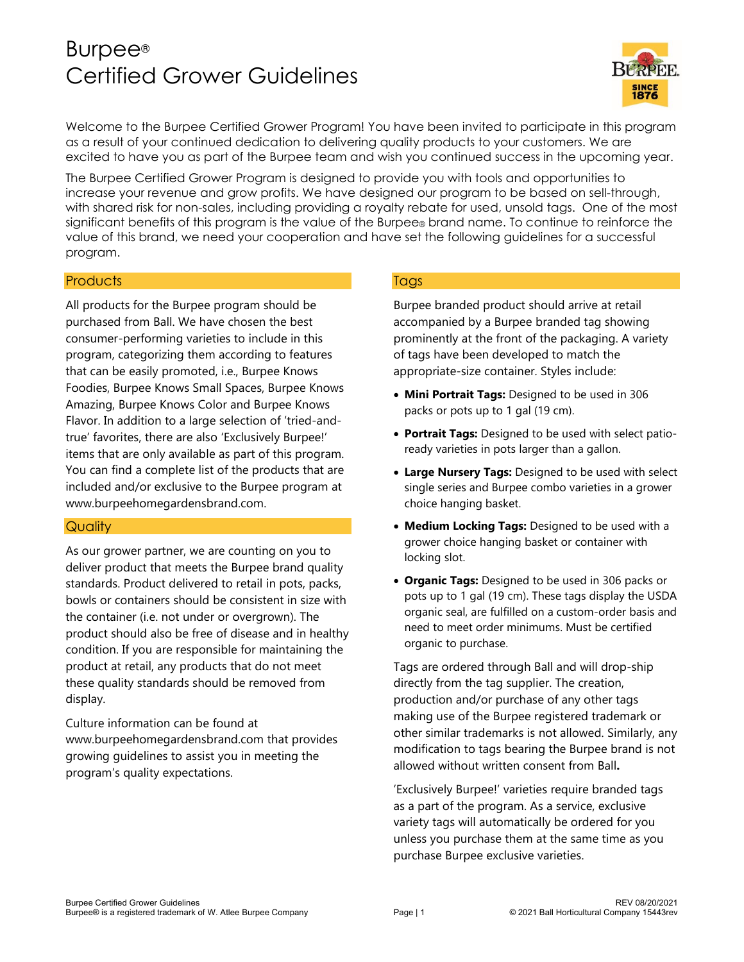# Burpee® Certified Grower Guidelines



Welcome to the Burpee Certified Grower Program! You have been invited to participate in this program as a result of your continued dedication to delivering quality products to your customers. We are excited to have you as part of the Burpee team and wish you continued success in the upcoming year.

The Burpee Certified Grower Program is designed to provide you with tools and opportunities to increase your revenue and grow profits. We have designed our program to be based on sell-through, with shared risk for non-sales, including providing a royalty rebate for used, unsold tags. One of the most significant benefits of this program is the value of the Burpee® brand name. To continue to reinforce the value of this brand, we need your cooperation and have set the following guidelines for a successful program.

## **Products**

All products for the Burpee program should be purchased from Ball. We have chosen the best consumer-performing varieties to include in this program, categorizing them according to features that can be easily promoted, i.e., Burpee Knows Foodies, Burpee Knows Small Spaces, Burpee Knows Amazing, Burpee Knows Color and Burpee Knows Flavor. In addition to a large selection of 'tried-andtrue' favorites, there are also 'Exclusively Burpee!' items that are only available as part of this program. You can find a complete list of the products that are included and/or exclusive to the Burpee program at www.burpeehomegardensbrand.com.

#### **Quality**

As our grower partner, we are counting on you to deliver product that meets the Burpee brand quality standards. Product delivered to retail in pots, packs, bowls or containers should be consistent in size with the container (i.e. not under or overgrown). The product should also be free of disease and in healthy condition. If you are responsible for maintaining the product at retail, any products that do not meet these quality standards should be removed from display.

Culture information can be found at www.burpeehomegardensbrand.com that provides growing guidelines to assist you in meeting the program's quality expectations.

## **Tags**

Burpee branded product should arrive at retail accompanied by a Burpee branded tag showing prominently at the front of the packaging. A variety of tags have been developed to match the appropriate-size container. Styles include:

- **Mini Portrait Tags:** Designed to be used in 306 packs or pots up to 1 gal (19 cm).
- **Portrait Tags:** Designed to be used with select patioready varieties in pots larger than a gallon.
- **Large Nursery Tags:** Designed to be used with select single series and Burpee combo varieties in a grower choice hanging basket.
- **Medium Locking Tags:** Designed to be used with a grower choice hanging basket or container with locking slot.
- **Organic Tags:** Designed to be used in 306 packs or pots up to 1 gal (19 cm). These tags display the USDA organic seal, are fulfilled on a custom-order basis and need to meet order minimums. Must be certified organic to purchase.

Tags are ordered through Ball and will drop-ship directly from the tag supplier. The creation, production and/or purchase of any other tags making use of the Burpee registered trademark or other similar trademarks is not allowed. Similarly, any modification to tags bearing the Burpee brand is not allowed without written consent from Ball**.**

'Exclusively Burpee!' varieties require branded tags as a part of the program. As a service, exclusive variety tags will automatically be ordered for you unless you purchase them at the same time as you purchase Burpee exclusive varieties.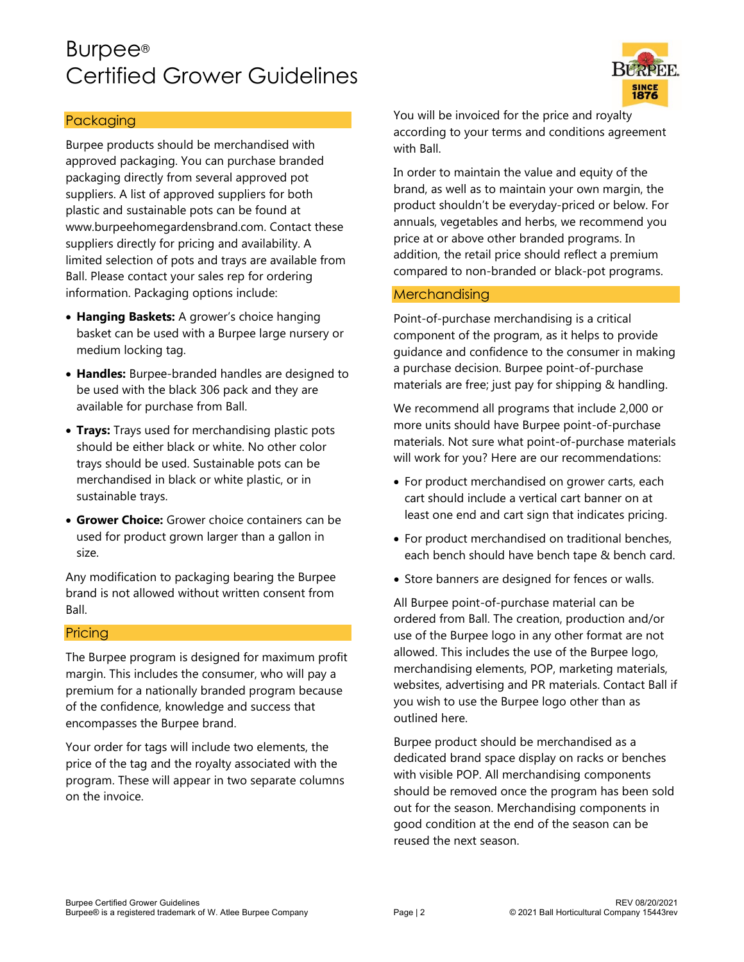# Burpee® Certified Grower Guidelines



## Packaging

Burpee products should be merchandised with approved packaging. You can purchase branded packaging directly from several approved pot suppliers. A list of approved suppliers for both plastic and sustainable pots can be found at www.burpeehomegardensbrand.com. Contact these suppliers directly for pricing and availability. A limited selection of pots and trays are available from Ball. Please contact your sales rep for ordering information. Packaging options include:

- **Hanging Baskets:** A grower's choice hanging basket can be used with a Burpee large nursery or medium locking tag.
- **Handles:** Burpee-branded handles are designed to be used with the black 306 pack and they are available for purchase from Ball.
- **Trays:** Trays used for merchandising plastic pots should be either black or white. No other color trays should be used. Sustainable pots can be merchandised in black or white plastic, or in sustainable trays.
- **Grower Choice:** Grower choice containers can be used for product grown larger than a gallon in size.

Any modification to packaging bearing the Burpee brand is not allowed without written consent from Ball.

#### **Pricing**

The Burpee program is designed for maximum profit margin. This includes the consumer, who will pay a premium for a nationally branded program because of the confidence, knowledge and success that encompasses the Burpee brand.

Your order for tags will include two elements, the price of the tag and the royalty associated with the program. These will appear in two separate columns on the invoice.

You will be invoiced for the price and royalty according to your terms and conditions agreement with Ball.

In order to maintain the value and equity of the brand, as well as to maintain your own margin, the product shouldn't be everyday-priced or below. For annuals, vegetables and herbs, we recommend you price at or above other branded programs. In addition, the retail price should reflect a premium compared to non-branded or black-pot programs.

#### **Merchandising**

Point-of-purchase merchandising is a critical component of the program, as it helps to provide guidance and confidence to the consumer in making a purchase decision. Burpee point-of-purchase materials are free; just pay for shipping & handling.

We recommend all programs that include 2,000 or more units should have Burpee point-of-purchase materials. Not sure what point-of-purchase materials will work for you? Here are our recommendations:

- For product merchandised on grower carts, each cart should include a vertical cart banner on at least one end and cart sign that indicates pricing.
- For product merchandised on traditional benches, each bench should have bench tape & bench card.
- Store banners are designed for fences or walls.

All Burpee point-of-purchase material can be ordered from Ball. The creation, production and/or use of the Burpee logo in any other format are not allowed. This includes the use of the Burpee logo, merchandising elements, POP, marketing materials, websites, advertising and PR materials. Contact Ball if you wish to use the Burpee logo other than as outlined here.

Burpee product should be merchandised as a dedicated brand space display on racks or benches with visible POP. All merchandising components should be removed once the program has been sold out for the season. Merchandising components in good condition at the end of the season can be reused the next season.